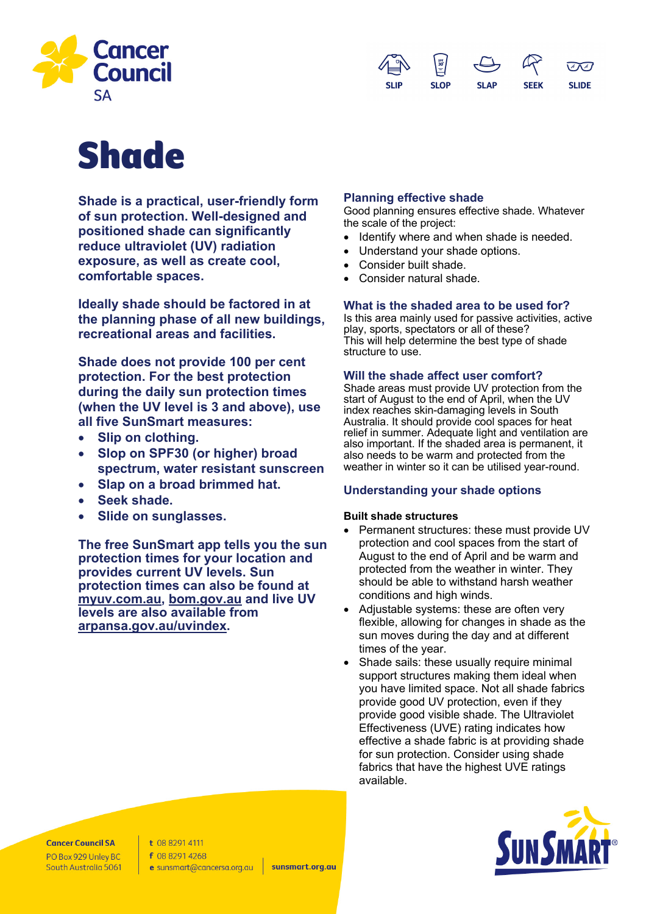



# Shade

**Shade is a practical, user-friendly form of sun protection. Well-designed and positioned shade can significantly reduce ultraviolet (UV) radiation exposure, as well as create cool, comfortable spaces.**

**Ideally shade should be factored in at the planning phase of all new buildings, recreational areas and facilities.**

**Shade does not provide 100 per cent protection. For the best protection during the daily sun protection times (when the UV level is 3 and above), use all five SunSmart measures:**

- **Slip on clothing.**
- **Slop on SPF30 (or higher) broad spectrum, water resistant sunscreen**
- **Slap on a broad brimmed hat.**
- **Seek shade.**
- **Slide on sunglasses.**

**The free SunSmart app tells you the sun protection times for your location and provides current UV levels. Sun protection times can also be found at myuv.com.au, bom.gov.au and live UV levels are also available from arpansa.gov.au/uvindex.**

# **Planning effective shade**

Good planning ensures effective shade. Whatever the scale of the project:

- Identify where and when shade is needed.
- Understand your shade options.
- Consider built shade.
- Consider natural shade.

# **What is the shaded area to be used for?**

Is this area mainly used for passive activities, active play, sports, spectators or all of these? This will help determine the best type of shade structure to use.

# **Will the shade affect user comfort?**

Shade areas must provide UV protection from the start of August to the end of April, when the UV index reaches skin-damaging levels in South Australia. It should provide cool spaces for heat relief in summer. Adequate light and ventilation are also important. If the shaded area is permanent, it also needs to be warm and protected from the weather in winter so it can be utilised year-round.

# **Understanding your shade options**

# **Built shade structures**

- Permanent structures: these must provide UV protection and cool spaces from the start of August to the end of April and be warm and protected from the weather in winter. They should be able to withstand harsh weather conditions and high winds.
- Adjustable systems: these are often very flexible, allowing for changes in shade as the sun moves during the day and at different times of the year.
- Shade sails: these usually require minimal support structures making them ideal when you have limited space. Not all shade fabrics provide good UV protection, even if they provide good visible shade. The Ultraviolet Effectiveness (UVE) rating indicates how effective a shade fabric is at providing shade for sun protection. Consider using shade fabrics that have the highest UVE ratings available.



**Cancer Council SA** PO Box 929 Unley BC South Australia 5061 t 08 8291 4111 f 08 8291 4268 e sunsmart@cancersa.org.au

sunsmart.org.au